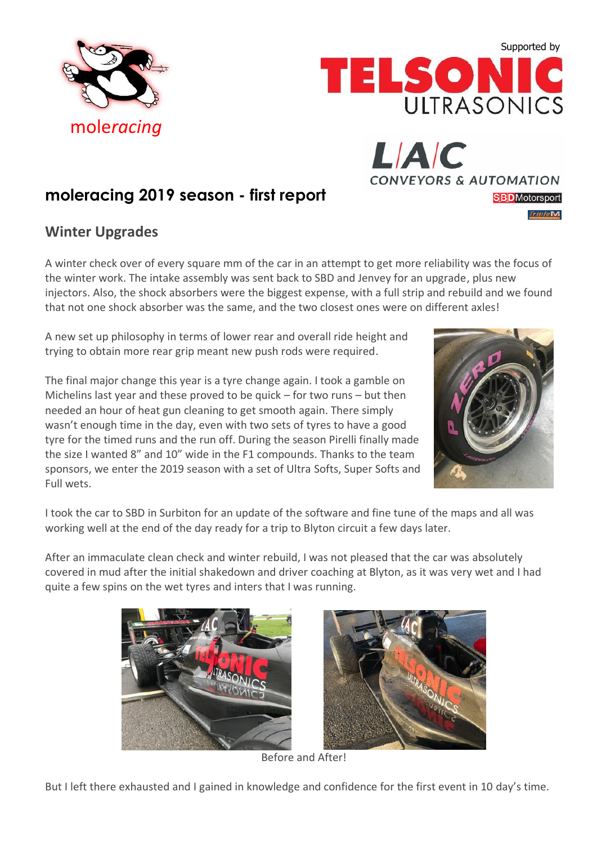



**CONVEYORS & AUTOMATION** 

**SBD**Motorsport

**TripleM** 

LIAIC

# **moleracing 2019 season - first report**

### **Winter Upgrades**

A winter check over of every square mm of the car in an attempt to get more reliability was the focus of the winter work. The intake assembly was sent back to SBD and Jenvey for an upgrade, plus new injectors. Also, the shock absorbers were the biggest expense, with a full strip and rebuild and we found that not one shock absorber was the same, and the two closest ones were on different axles!

A new set up philosophy in terms of lower rear and overall ride height and trying to obtain more rear grip meant new push rods were required.

The final major change this year is a tyre change again. I took a gamble on Michelins last year and these proved to be quick – for two runs – but then needed an hour of heat gun cleaning to get smooth again. There simply wasn't enough time in the day, even with two sets of tyres to have a good tyre for the timed runs and the run off. During the season Pirelli finally made the size I wanted 8" and 10" wide in the F1 compounds. Thanks to the team sponsors, we enter the 2019 season with a set of Ultra Softs, Super Softs and Full wets.



I took the car to SBD in Surbiton for an update of the software and fine tune of the maps and all was working well at the end of the day ready for a trip to Blyton circuit a few days later.

After an immaculate clean check and winter rebuild, I was not pleased that the car was absolutely covered in mud after the initial shakedown and driver coaching at Blyton, as it was very wet and I had quite a few spins on the wet tyres and inters that I was running.





Before and After!

But I left there exhausted and I gained in knowledge and confidence for the first event in 10 day's time.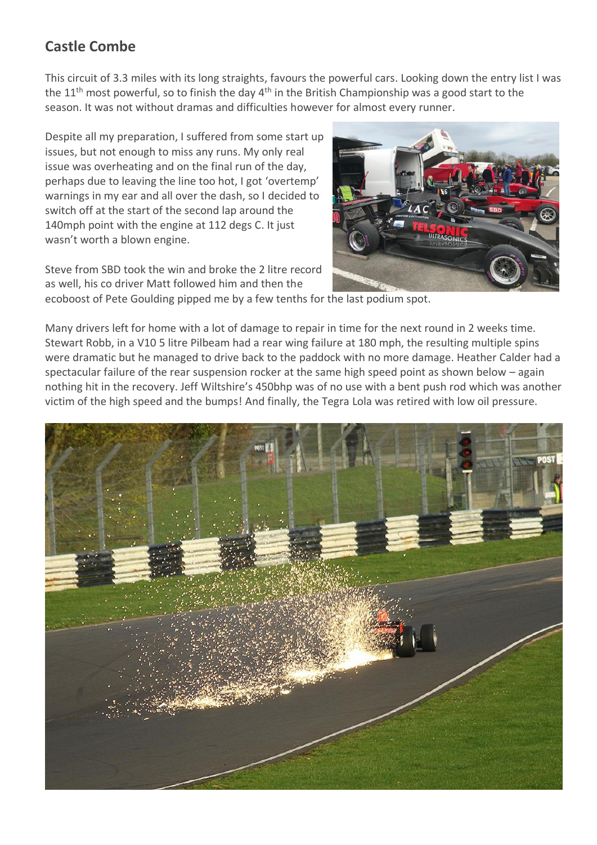## **Castle Combe**

This circuit of 3.3 miles with its long straights, favours the powerful cars. Looking down the entry list I was the 11<sup>th</sup> most powerful, so to finish the day 4<sup>th</sup> in the British Championship was a good start to the season. It was not without dramas and difficulties however for almost every runner.

Despite all my preparation, I suffered from some start up issues, but not enough to miss any runs. My only real issue was overheating and on the final run of the day, perhaps due to leaving the line too hot, I got 'overtemp' warnings in my ear and all over the dash, so I decided to switch off at the start of the second lap around the 140mph point with the engine at 112 degs C. It just wasn't worth a blown engine.

Steve from SBD took the win and broke the 2 litre record as well, his co driver Matt followed him and then the



ecoboost of Pete Goulding pipped me by a few tenths for the last podium spot.

Many drivers left for home with a lot of damage to repair in time for the next round in 2 weeks time. Stewart Robb, in a V10 5 litre Pilbeam had a rear wing failure at 180 mph, the resulting multiple spins were dramatic but he managed to drive back to the paddock with no more damage. Heather Calder had a spectacular failure of the rear suspension rocker at the same high speed point as shown below – again nothing hit in the recovery. Jeff Wiltshire's 450bhp was of no use with a bent push rod which was another victim of the high speed and the bumps! And finally, the Tegra Lola was retired with low oil pressure.

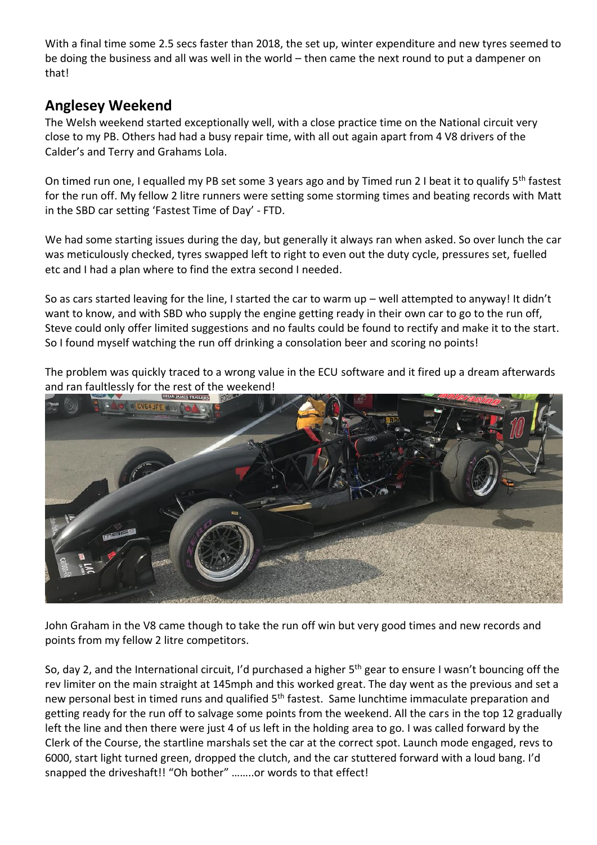With a final time some 2.5 secs faster than 2018, the set up, winter expenditure and new tyres seemed to be doing the business and all was well in the world – then came the next round to put a dampener on that!

### **Anglesey Weekend**

The Welsh weekend started exceptionally well, with a close practice time on the National circuit very close to my PB. Others had had a busy repair time, with all out again apart from 4 V8 drivers of the Calder's and Terry and Grahams Lola.

On timed run one, I equalled my PB set some 3 years ago and by Timed run 2 I beat it to qualify 5<sup>th</sup> fastest for the run off. My fellow 2 litre runners were setting some storming times and beating records with Matt in the SBD car setting 'Fastest Time of Day' - FTD.

We had some starting issues during the day, but generally it always ran when asked. So over lunch the car was meticulously checked, tyres swapped left to right to even out the duty cycle, pressures set, fuelled etc and I had a plan where to find the extra second I needed.

So as cars started leaving for the line, I started the car to warm up – well attempted to anyway! It didn't want to know, and with SBD who supply the engine getting ready in their own car to go to the run off, Steve could only offer limited suggestions and no faults could be found to rectify and make it to the start. So I found myself watching the run off drinking a consolation beer and scoring no points!

The problem was quickly traced to a wrong value in the ECU software and it fired up a dream afterwards and ran faultlessly for the rest of the weekend!



John Graham in the V8 came though to take the run off win but very good times and new records and points from my fellow 2 litre competitors.

So, day 2, and the International circuit, I'd purchased a higher 5<sup>th</sup> gear to ensure I wasn't bouncing off the rev limiter on the main straight at 145mph and this worked great. The day went as the previous and set a new personal best in timed runs and qualified 5<sup>th</sup> fastest. Same lunchtime immaculate preparation and getting ready for the run off to salvage some points from the weekend. All the cars in the top 12 gradually left the line and then there were just 4 of us left in the holding area to go. I was called forward by the Clerk of the Course, the startline marshals set the car at the correct spot. Launch mode engaged, revs to 6000, start light turned green, dropped the clutch, and the car stuttered forward with a loud bang. I'd snapped the driveshaft!! "Oh bother" ……..or words to that effect!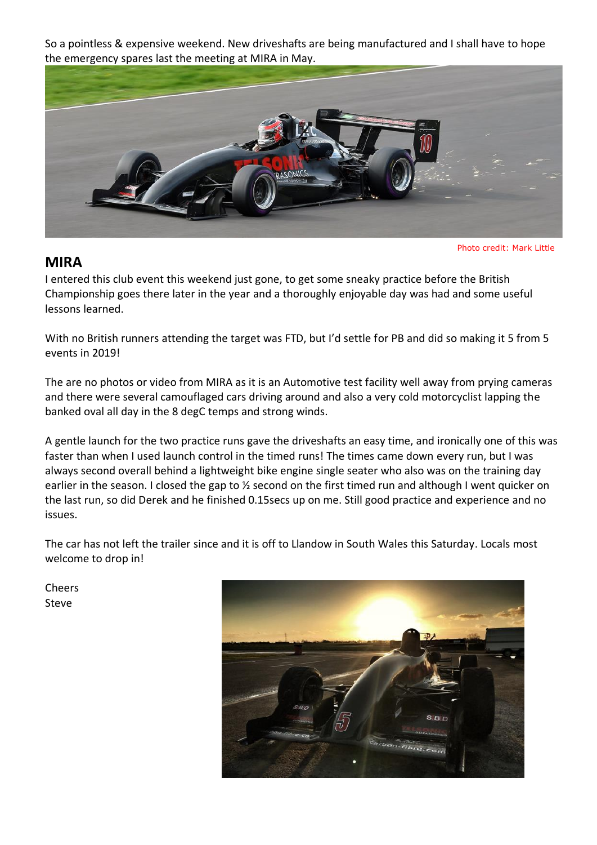So a pointless & expensive weekend. New driveshafts are being manufactured and I shall have to hope the emergency spares last the meeting at MIRA in May.



### **MIRA**

Photo credit: Mark Little

I entered this club event this weekend just gone, to get some sneaky practice before the British Championship goes there later in the year and a thoroughly enjoyable day was had and some useful lessons learned.

With no British runners attending the target was FTD, but I'd settle for PB and did so making it 5 from 5 events in 2019!

The are no photos or video from MIRA as it is an Automotive test facility well away from prying cameras and there were several camouflaged cars driving around and also a very cold motorcyclist lapping the banked oval all day in the 8 degC temps and strong winds.

A gentle launch for the two practice runs gave the driveshafts an easy time, and ironically one of this was faster than when I used launch control in the timed runs! The times came down every run, but I was always second overall behind a lightweight bike engine single seater who also was on the training day earlier in the season. I closed the gap to 1/2 second on the first timed run and although I went quicker on the last run, so did Derek and he finished 0.15secs up on me. Still good practice and experience and no issues.

The car has not left the trailer since and it is off to Llandow in South Wales this Saturday. Locals most welcome to drop in!

Cheers Steve